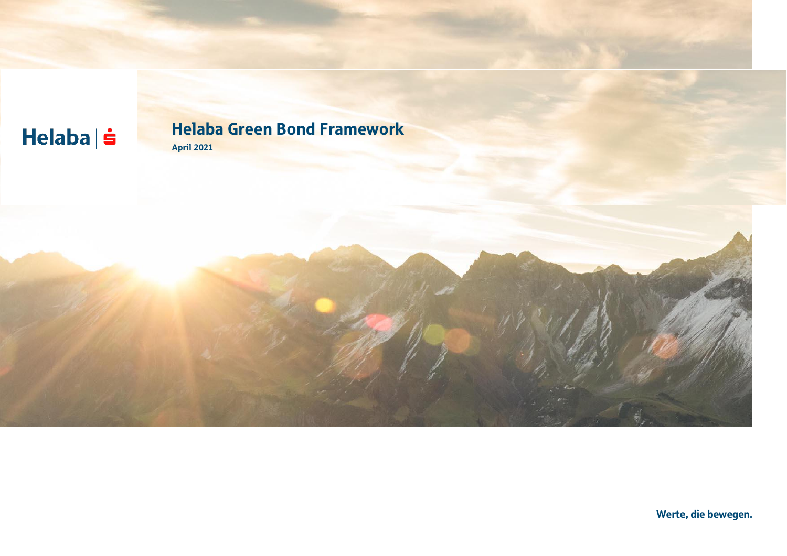# $Helaba| \dot{ }$

### Helaba Green Bond Framework April 2021

Werte, die bewegen.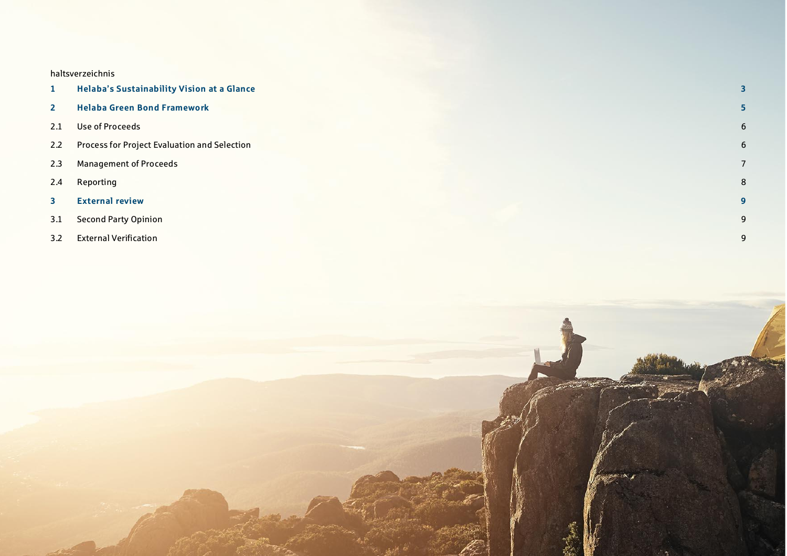#### haltsverzeichnis

| $\mathbf{1}$            | <b>Helaba's Sustainability Vision at a Glance</b> | $\overline{\mathbf{3}}$ |
|-------------------------|---------------------------------------------------|-------------------------|
| $\overline{2}$          | <b>Helaba Green Bond Framework</b>                | 5                       |
| 2.1                     | Use of Proceeds                                   | 6                       |
| 2.2                     | Process for Project Evaluation and Selection      | 6                       |
| 2.3                     | <b>Management of Proceeds</b>                     | $7^{\circ}$             |
| 2.4                     | Reporting                                         | 8                       |
| $\overline{\mathbf{3}}$ | <b>External review</b>                            | $\overline{9}$          |
| 3.1                     | <b>Second Party Opinion</b>                       | 9                       |
| 3.2                     | <b>External Verification</b>                      | 9                       |

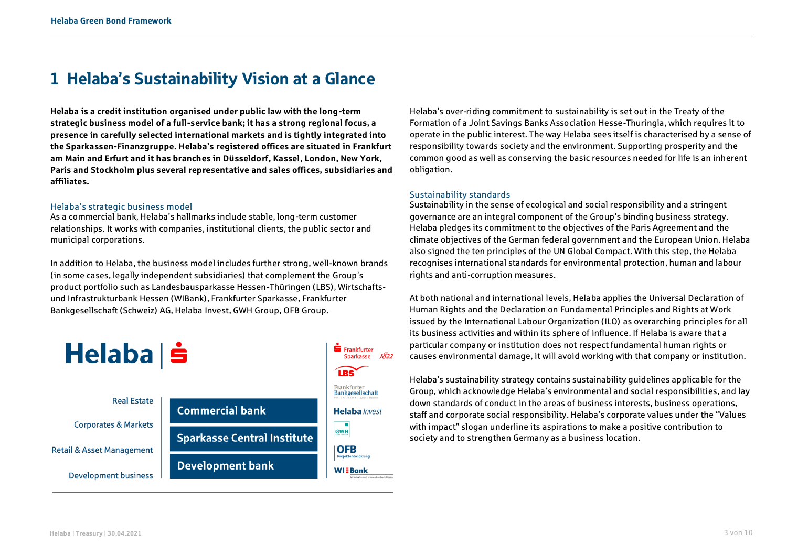## <span id="page-2-0"></span>1 Helaba's Sustainability Vision at a Glance

**Helaba is a credit institution organised under public law with the long-term strategic business model of a full-service bank; it has a strong regional focus, a presence in carefully selected international markets and is tightly integrated into the Sparkassen-Finanzgruppe. Helaba's registered offices are situated in Frankfurt am Main and Erfurt and it has branches in Düsseldorf, Kassel, London, New York, Paris and Stockholm plus several representative and sales offices, subsidiaries and affiliates.**

#### Helaba's strategic business model

As a commercial bank, Helaba's hallmarks include stable, long-term customer relationships. It works with companies, institutional clients, the public sector and municipal corporations.

In addition to Helaba, the business model includes further strong, well-known brands (in some cases, legally independent subsidiaries) that complement the Group's product portfolio such as Landesbausparkasse Hessen-Thüringen (LBS), Wirtschaftsund Infrastrukturbank Hessen (WIBank), Frankfurter Sparkasse, Frankfurter Bankgesellschaft (Schweiz) AG, Helaba Invest, GWH Group, OFB Group.



Helaba's over-riding commitment to sustainability is set out in the Treaty of the Formation of a Joint Savings Banks Association Hesse-Thuringia, which requires it to operate in the public interest. The way Helaba sees itself is characterised by a sense of responsibility towards society and the environment. Supporting prosperity and the common good as well as conserving the basic resources needed for life is an inherent obligation.

#### Sustainability standards

Sustainability in the sense of ecological and social responsibility and a stringent governance are an integral component of the Group's binding business strategy. Helaba pledges its commitment to the objectives of the Paris Agreement and the climate objectives of the German federal government and the European Union. Helaba also signed the ten principles of the UN Global Compact. With this step, the Helaba recognises international standards for environmental protection, human and labour rights and anti-corruption measures.

At both national and international levels, Helaba applies the Universal Declaration of Human Rights and the Declaration on Fundamental Principles and Rights at Work issued by the International Labour Organization (ILO) as overarching principles for all its business activities and within its sphere of influence. If Helaba is aware that a particular company or institution does not respect fundamental human rights or causes environmental damage, it will avoid working with that company or institution.

Helaba's sustainability strategy contains sustainability guidelines applicable for the Group, which acknowledge Helaba's environmental and social responsibilities, and lay down standards of conduct in the areas of business interests, business operations, staff and corporate social responsibility. Helaba's corporate values under the "Values with impact" slogan underline its aspirations to make a positive contribution to society and to strengthen Germany as a business location.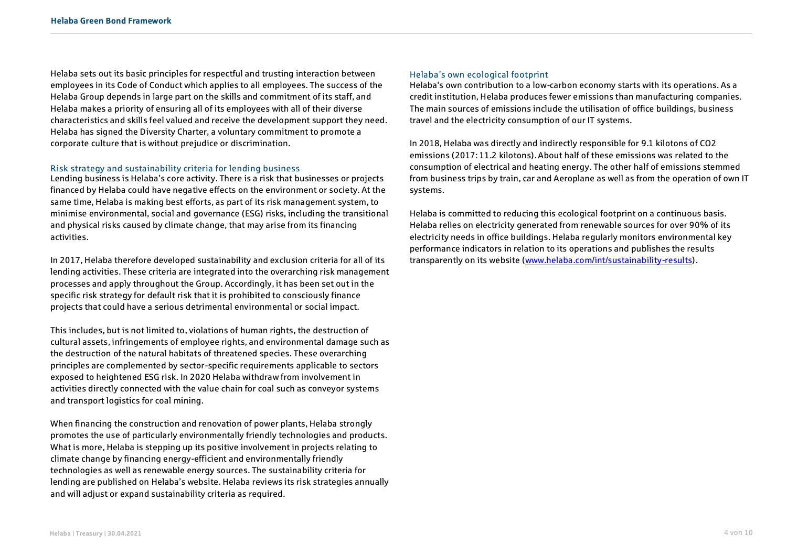Helaba sets out its basic principles for respectful and trusting interaction between employees in its Code of Conduct which applies to all employees. The success of the Helaba Group depends in large part on the skills and commitment of its staff, and Helaba makes a priority of ensuring all of its employees with all of their diverse characteristics and skills feel valued and receive the development support they need. Helaba has signed the Diversity Charter, a voluntary commitment to promote a corporate culture that is without prejudice or discrimination.

#### Risk strategy and sustainability criteria for lending business

Lending business is Helaba's core activity. There is a risk that businesses or projects financed by Helaba could have negative effects on the environment or society. At the same time, Helaba is making best efforts, as part of its risk management system, to minimise environmental, social and governance (ESG) risks, including the transitional and physical risks caused by climate change, that may arise from its financing activities.

In 2017, Helaba therefore developed sustainability and exclusion criteria for all of its lending activities. These criteria are integrated into the overarching risk management processes and apply throughout the Group. Accordingly, it has been set out in the specific risk strategy for default risk that it is prohibited to consciously finance projects that could have a serious detrimental environmental or social impact.

This includes, but is not limited to, violations of human rights, the destruction of cultural assets, infringements of employee rights, and environmental damage such as the destruction of the natural habitats of threatened species. These overarching principles are complemented by sector-specific requirements applicable to sectors exposed to heightened ESG risk. In 2020 Helaba withdraw from involvement in activities directly connected with the value chain for coal such as conveyor systems and transport logistics for coal mining.

When financing the construction and renovation of power plants, Helaba strongly promotes the use of particularly environmentally friendly technologies and products. What is more, Helaba is stepping up its positive involvement in projects relating to climate change by financing energy-efficient and environmentally friendly technologies as well as renewable energy sources. The sustainability criteria for lending are published on Helaba's website. Helaba reviews its risk strategies annually and will adjust or expand sustainability criteria as required.

#### Helaba's own ecological footprint

Helaba's own contribution to a low-carbon economy starts with its operations. As a credit institution, Helaba produces fewer emissions than manufacturing companies. The main sources of emissions include the utilisation of office buildings, business travel and the electricity consumption of our IT systems.

In 2018, Helaba was directly and indirectly responsible for 9.1 kilotons of CO2 emissions (2017: 11.2 kilotons). About half of these emissions was related to the consumption of electrical and heating energy. The other half of emissions stemmed from business trips by train, car and Aeroplane as well as from the operation of own IT systems.

Helaba is committed to reducing this ecological footprint on a continuous basis. Helaba relies on electricity generated from renewable sources for over 90% of its electricity needs in office buildings. Helaba regularly monitors environmental key performance indicators in relation to its operations and publishes the results transparently on its website [\(www.helaba.com/int/sustainability-results\)](http://www.helaba.com/int/sustainability-results).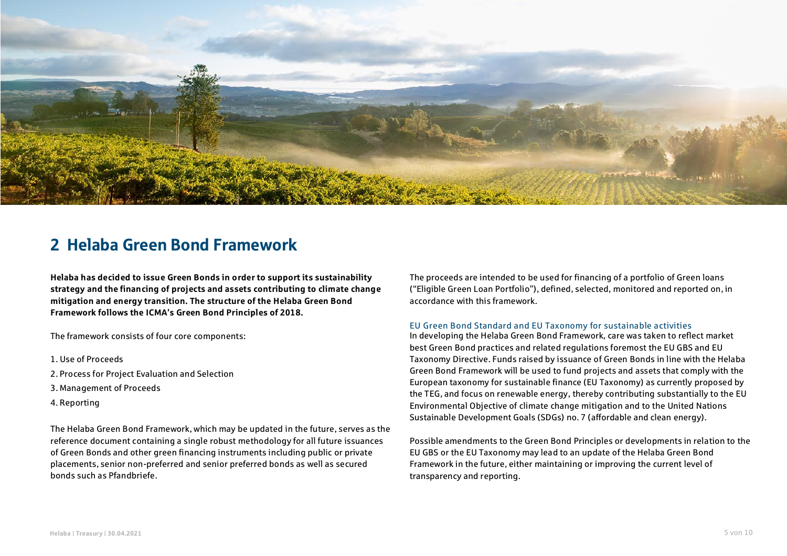

### <span id="page-4-0"></span>2 Helaba Green Bond Framework

**Helaba has decided to issue Green Bonds in order to support its sustainability strategy and the financing of projects and assets contributing to climate change mitigation and energy transition. The structure of the Helaba Green Bond Framework follows the ICMA's Green Bond Principles of 2018.**

The framework consists of four core components:

- 1. Use of Proceeds
- 2. Process for Project Evaluation and Selection
- 3. Management of Proceeds
- 4. Reporting

The Helaba Green Bond Framework, which may be updated in the future, serves as the reference document containing a single robust methodology for all future issuances of Green Bonds and other green financing instruments including public or private placements, senior non-preferred and senior preferred bonds as well as secured bonds such as Pfandbriefe.

The proceeds are intended to be used for financing of a portfolio of Green loans ("Eligible Green Loan Portfolio"), defined, selected, monitored and reported on, in accordance with this framework.

#### EU Green Bond Standard and EU Taxonomy for sustainable activities

In developing the Helaba Green Bond Framework, care was taken to reflect market best Green Bond practices and related regulations foremost the EU GBS and EU Taxonomy Directive. Funds raised by issuance of Green Bonds in line with the Helaba Green Bond Framework will be used to fund projects and assets that comply with the European taxonomy for sustainable finance (EU Taxonomy) as currently proposed by the TEG, and focus on renewable energy, thereby contributing substantially to the EU Environmental Objective of climate change mitigation and to the United Nations Sustainable Development Goals (SDGs) no. 7 (affordable and clean energy).

Possible amendments to the Green Bond Principles or developments in relation to the EU GBS or the EU Taxonomy may lead to an update of the Helaba Green Bond Framework in the future, either maintaining or improving the current level of transparency and reporting.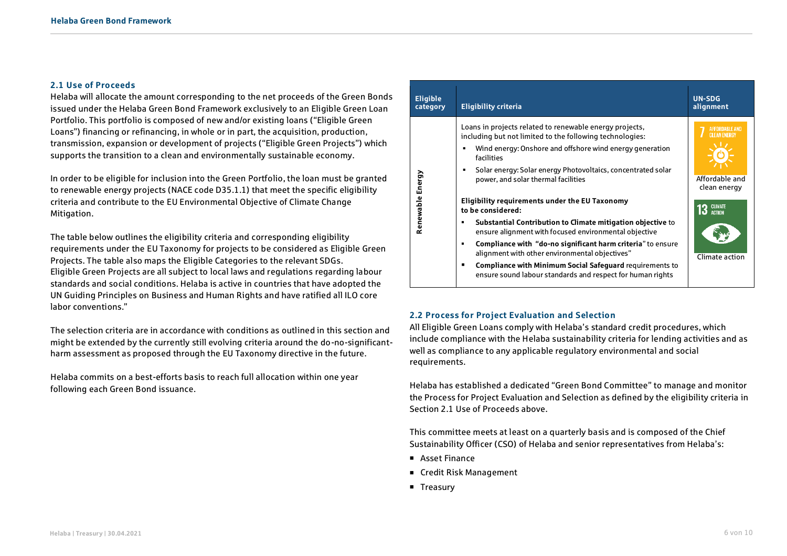#### <span id="page-5-0"></span>**2.1 Use of Proceeds**

Helaba will allocate the amount corresponding to the net proceeds of the Green Bonds issued under the Helaba Green Bond Framework exclusively to an Eligible Green Loan Portfolio. This portfolio is composed of new and/or existing loans ("Eligible Green Loans") financing or refinancing, in whole or in part, the acquisition, production, transmission, expansion or development of projects ("Eligible Green Projects") which supports the transition to a clean and environmentally sustainable economy.

In order to be eligible for inclusion into the Green Portfolio, the loan must be granted to renewable energy projects (NACE code D35.1.1) that meet the specific eligibility criteria and contribute to the EU Environmental Objective of Climate Change Mitigation.

The table below outlines the eligibility criteria and corresponding eligibility requirements under the EU Taxonomy for projects to be considered as Eligible Green Projects. The table also maps the Eligible Categories to the relevant SDGs. Eligible Green Projects are all subject to local laws and regulations regarding labour standards and social conditions. Helaba is active in countries that have adopted the UN Guiding Principles on Business and Human Rights and have ratified all ILO core labor conventions."

The selection criteria are in accordance with conditions as outlined in this section and might be extended by the currently still evolving criteria around the do-no-significantharm assessment as proposed through the EU Taxonomy directive in the future.

Helaba commits on a best-efforts basis to reach full allocation within one year following each Green Bond issuance.

| <b>Eligible</b><br>category | <b>Eligibility criteria</b>                                                                                                                                                                                                                                                                                                                                                                                                                                                                                                                                                                                                                                                                                                                                          | <b>UN-SDG</b><br>alignment                                                                               |
|-----------------------------|----------------------------------------------------------------------------------------------------------------------------------------------------------------------------------------------------------------------------------------------------------------------------------------------------------------------------------------------------------------------------------------------------------------------------------------------------------------------------------------------------------------------------------------------------------------------------------------------------------------------------------------------------------------------------------------------------------------------------------------------------------------------|----------------------------------------------------------------------------------------------------------|
| Energy<br>Renewable         | Loans in projects related to renewable energy projects,<br>including but not limited to the following technologies:<br>Wind energy: Onshore and offshore wind energy generation<br>■<br>facilities<br>Solar energy: Solar energy Photovoltaics, concentrated solar<br>٠<br>power, and solar thermal facilities<br>Eligibility requirements under the EU Taxonomy<br>to be considered:<br>Substantial Contribution to Climate mitigation objective to<br>ensure alignment with focused environmental objective<br>Compliance with "do-no significant harm criteria" to ensure<br>п<br>alignment with other environmental objectives"<br><b>Compliance with Minimum Social Safeguard requirements to</b><br>ensure sound labour standards and respect for human rights | AFFORDARI F AND<br><b>CLEAN ENERGY</b><br>Affordable and<br>clean energy<br>13 GLIMATE<br>Climate action |

#### <span id="page-5-1"></span>**2.2 Process for Project Evaluation and Selection**

All Eligible Green Loans comply with Helaba's standard credit procedures, which include compliance with the Helaba sustainability criteria for lending activities and as well as compliance to any applicable regulatory environmental and social requirements.

Helaba has established a dedicated "Green Bond Committee" to manage and monitor the Process for Project Evaluation and Selection as defined by the eligibility criteria in Section 2.1 Use of Proceeds above.

This committee meets at least on a quarterly basis and is composed of the Chief Sustainability Officer (CSO) of Helaba and senior representatives from Helaba's:

- Asset Finance
- Credit Risk Management
- **Treasury**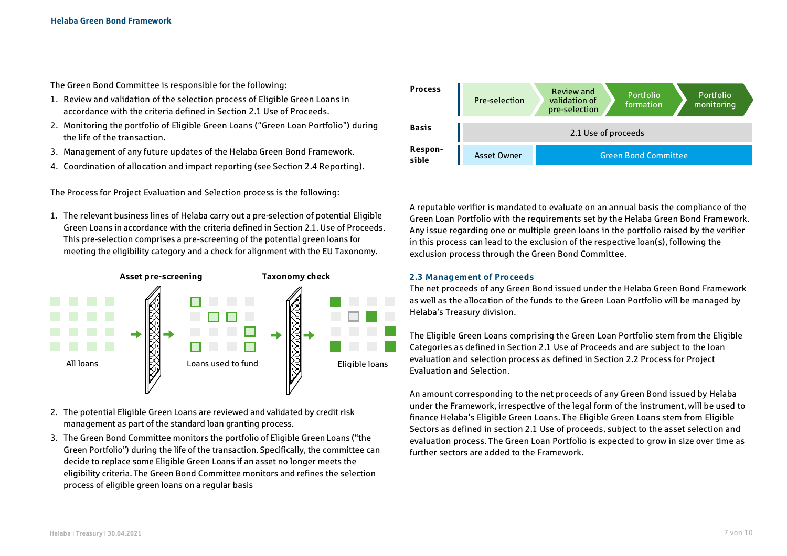The Green Bond Committee is responsible for the following:

- 1. Review and validation of the selection process of Eligible Green Loans in accordance with the criteria defined in Section 2.1 Use of Proceeds.
- 2. Monitoring the portfolio of Eligible Green Loans ("Green Loan Portfolio") during the life of the transaction.
- 3. Management of any future updates of the Helaba Green Bond Framework.
- 4. Coordination of allocation and impact reporting (see Section 2.4 Reporting).

The Process for Project Evaluation and Selection process is the following:

1. The relevant business lines of Helaba carry out a pre-selection of potential Eligible Green Loans in accordance with the criteria defined in Section 2.1. Use of Proceeds. This pre-selection comprises a pre-screening of the potential green loans for meeting the eligibility category and a check for alignment with the EU Taxonomy.



- 2. The potential Eligible Green Loans are reviewed and validated by credit risk management as part of the standard loan granting process.
- 3. The Green Bond Committee monitors the portfolio of Eligible Green Loans ("the Green Portfolio") during the life of the transaction. Specifically, the committee can decide to replace some Eligible Green Loans if an asset no longer meets the eligibility criteria. The Green Bond Committee monitors and refines the selection process of eligible green loans on a regular basis



A reputable verifier is mandated to evaluate on an annual basis the compliance of the Green Loan Portfolio with the requirements set by the Helaba Green Bond Framework. Any issue regarding one or multiple green loans in the portfolio raised by the verifier in this process can lead to the exclusion of the respective loan(s), following the exclusion process through the Green Bond Committee.

#### <span id="page-6-0"></span>**2.3 Management of Proceeds**

The net proceeds of any Green Bond issued under the Helaba Green Bond Framework as well as the allocation of the funds to the Green Loan Portfolio will be managed by Helaba's Treasury division.

The Eligible Green Loans comprising the Green Loan Portfolio stem from the Eligible Categories as defined in Section 2.1 Use of Proceeds and are subject to the loan evaluation and selection process as defined in Section 2.2 Process for Project Evaluation and Selection.

An amount corresponding to the net proceeds of any Green Bond issued by Helaba under the Framework, irrespective of the legal form of the instrument, will be used to finance Helaba's Eligible Green Loans. The Eligible Green Loans stem from Eligible Sectors as defined in section 2.1 Use of proceeds, subject to the asset selection and evaluation process. The Green Loan Portfolio is expected to grow in size over time as further sectors are added to the Framework.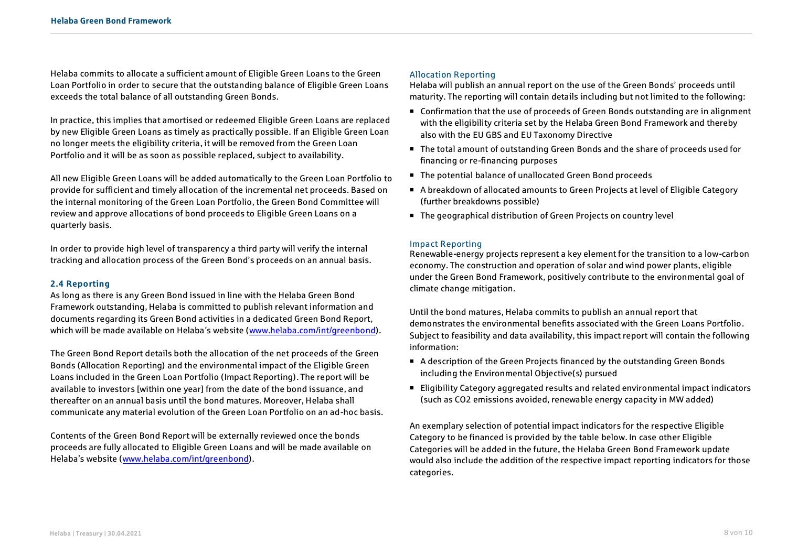Helaba commits to allocate a sufficient amount of Eligible Green Loans to the Green Loan Portfolio in order to secure that the outstanding balance of Eligible Green Loans exceeds the total balance of all outstanding Green Bonds.

In practice, this implies that amortised or redeemed Eligible Green Loans are replaced by new Eligible Green Loans as timely as practically possible. If an Eligible Green Loan no longer meets the eligibility criteria, it will be removed from the Green Loan Portfolio and it will be as soon as possible replaced, subject to availability.

All new Eligible Green Loans will be added automatically to the Green Loan Portfolio to provide for sufficient and timely allocation of the incremental net proceeds. Based on the internal monitoring of the Green Loan Portfolio, the Green Bond Committee will review and approve allocations of bond proceeds to Eligible Green Loans on a quarterly basis.

In order to provide high level of transparency a third party will verify the internal tracking and allocation process of the Green Bond's proceeds on an annual basis.

#### <span id="page-7-0"></span>**2.4 Reporting**

As long as there is any Green Bond issued in line with the Helaba Green Bond Framework outstanding, Helaba is committed to publish relevant information and documents regarding its Green Bond activities in a dedicated Green Bond Report, which will be made available on Helaba's website ([www.helaba.com/int/greenbond\)](http://www.helaba.com/int/greenbond).

The Green Bond Report details both the allocation of the net proceeds of the Green Bonds (Allocation Reporting) and the environmental impact of the Eligible Green Loans included in the Green Loan Portfolio (Impact Reporting). The report will be available to investors [within one year] from the date of the bond issuance, and thereafter on an annual basis until the bond matures. Moreover, Helaba shall communicate any material evolution of the Green Loan Portfolio on an ad-hoc basis.

Contents of the Green Bond Report will be externally reviewed once the bonds proceeds are fully allocated to Eligible Green Loans and will be made available on Helaba's website [\(www.helaba.com/int/greenbond\)](http://www.helaba.com/int/greenbond).

#### Allocation Reporting

Helaba will publish an annual report on the use of the Green Bonds' proceeds until maturity. The reporting will contain details including but not limited to the following:

- Confirmation that the use of proceeds of Green Bonds outstanding are in alignment with the eligibility criteria set by the Helaba Green Bond Framework and thereby also with the EU GBS and EU Taxonomy Directive
- The total amount of outstanding Green Bonds and the share of proceeds used for financing or re-financing purposes
- The potential balance of unallocated Green Bond proceeds
- A breakdown of allocated amounts to Green Projects at level of Eligible Category (further breakdowns possible)
- The geographical distribution of Green Projects on country level

#### Impact Reporting

Renewable-energy projects represent a key element for the transition to a low-carbon economy. The construction and operation of solar and wind power plants, eligible under the Green Bond Framework, positively contribute to the environmental goal of climate change mitigation.

Until the bond matures, Helaba commits to publish an annual report that demonstrates the environmental benefits associated with the Green Loans Portfolio. Subject to feasibility and data availability, this impact report will contain the following information:

- A description of the Green Projects financed by the outstanding Green Bonds including the Environmental Objective(s) pursued
- Eligibility Category aggregated results and related environmental impact indicators (such as CO2 emissions avoided, renewable energy capacity in MW added)

An exemplary selection of potential impact indicators for the respective Eligible Category to be financed is provided by the table below. In case other Eligible Categories will be added in the future, the Helaba Green Bond Framework update would also include the addition of the respective impact reporting indicators for those categories.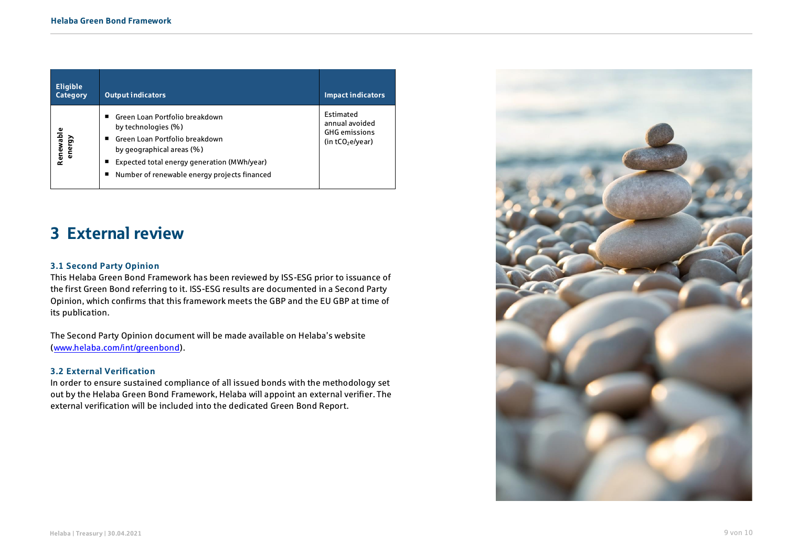| <b>Eligible</b><br>Category | <b>Output indicators</b>                                                                                                                                                                                                     | <b>Impact indicators</b>                                                  |
|-----------------------------|------------------------------------------------------------------------------------------------------------------------------------------------------------------------------------------------------------------------------|---------------------------------------------------------------------------|
| Renewable<br>energy         | ■ Green Loan Portfolio breakdown<br>by technologies (%)<br>■ Green Loan Portfolio breakdown<br>by geographical areas (%)<br>Expected total energy generation (MWh/year)<br>Number of renewable energy projects financed<br>ш | Estimated<br>annual avoided<br><b>GHG</b> emissions<br>(in $tCO2e/year$ ) |

### <span id="page-8-0"></span>3 External review

#### <span id="page-8-1"></span>**3.1 Second Party Opinion**

This Helaba Green Bond Framework has been reviewed by ISS-ESG prior to issuance of the first Green Bond referring to it. ISS-ESG results are documented in a Second Party Opinion, which confirms that this framework meets the GBP and the EU GBP at time of its publication.

The Second Party Opinion document will be made available on Helaba's website [\(www.helaba.com/int/greenbond\)](http://www.helaba.com/int/greenbond).

#### <span id="page-8-2"></span>**3.2 External Verification**

In order to ensure sustained compliance of all issued bonds with the methodology set out by the Helaba Green Bond Framework, Helaba will appoint an external verifier. The external verification will be included into the dedicated Green Bond Report.